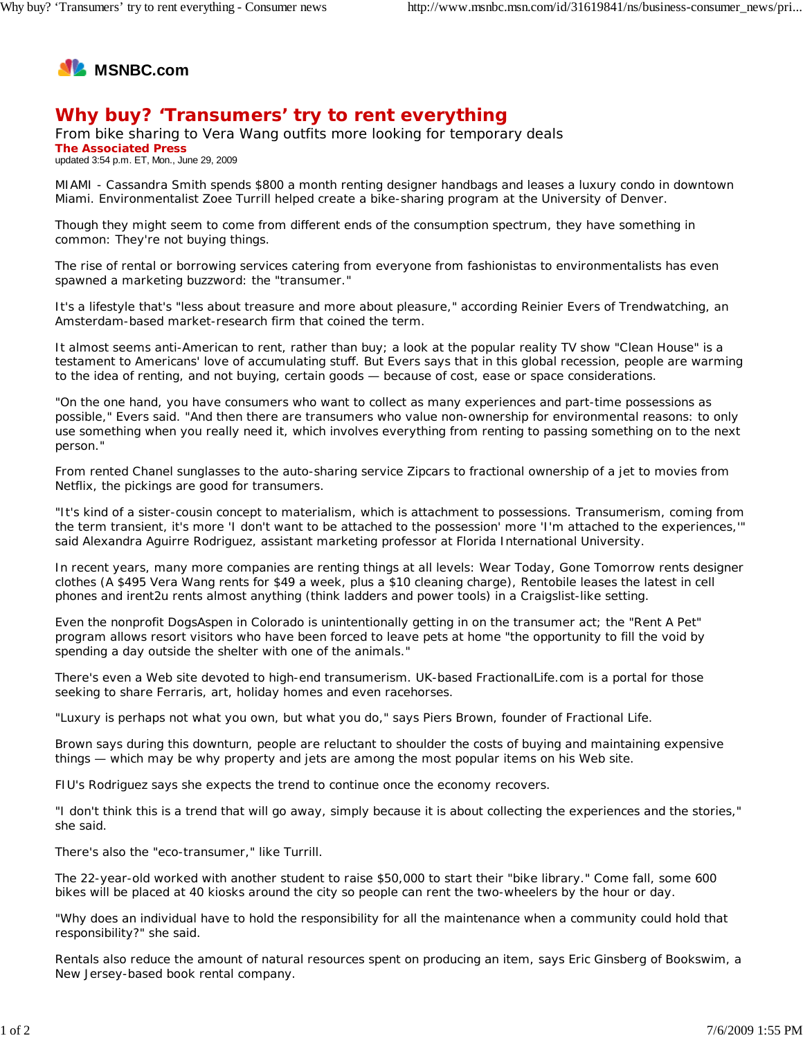

## **Why buy? 'Transumers' try to rent everything**

From bike sharing to Vera Wang outfits more looking for temporary deals **The Associated Press** updated 3:54 p.m. ET, Mon., June 29, 2009

MIAMI - Cassandra Smith spends \$800 a month renting designer handbags and leases a luxury condo in downtown Miami. Environmentalist Zoee Turrill helped create a bike-sharing program at the University of Denver.

Though they might seem to come from different ends of the consumption spectrum, they have something in common: They're not buying things.

The rise of rental or borrowing services catering from everyone from fashionistas to environmentalists has even spawned a marketing buzzword: the "transumer."

It's a lifestyle that's "less about treasure and more about pleasure," according Reinier Evers of Trendwatching, an Amsterdam-based market-research firm that coined the term.

It almost seems anti-American to rent, rather than buy; a look at the popular reality TV show "Clean House" is a testament to Americans' love of accumulating stuff. But Evers says that in this global recession, people are warming to the idea of renting, and not buying, certain goods — because of cost, ease or space considerations.

"On the one hand, you have consumers who want to collect as many experiences and part-time possessions as possible," Evers said. "And then there are transumers who value non-ownership for environmental reasons: to only use something when you really need it, which involves everything from renting to passing something on to the next person."

From rented Chanel sunglasses to the auto-sharing service Zipcars to fractional ownership of a jet to movies from Netflix, the pickings are good for transumers.

"It's kind of a sister-cousin concept to materialism, which is attachment to possessions. Transumerism, coming from the term transient, it's more 'I don't want to be attached to the possession' more 'I'm attached to the experiences,'" said Alexandra Aguirre Rodriguez, assistant marketing professor at Florida International University.

In recent years, many more companies are renting things at all levels: Wear Today, Gone Tomorrow rents designer clothes (A \$495 Vera Wang rents for \$49 a week, plus a \$10 cleaning charge), Rentobile leases the latest in cell phones and irent2u rents almost anything (think ladders and power tools) in a Craigslist-like setting.

Even the nonprofit DogsAspen in Colorado is unintentionally getting in on the transumer act; the "Rent A Pet" program allows resort visitors who have been forced to leave pets at home "the opportunity to fill the void by spending a day outside the shelter with one of the animals."

There's even a Web site devoted to high-end transumerism. UK-based FractionalLife.com is a portal for those seeking to share Ferraris, art, holiday homes and even racehorses.

"Luxury is perhaps not what you own, but what you do," says Piers Brown, founder of Fractional Life.

Brown says during this downturn, people are reluctant to shoulder the costs of buying and maintaining expensive things — which may be why property and jets are among the most popular items on his Web site.

FIU's Rodriguez says she expects the trend to continue once the economy recovers.

"I don't think this is a trend that will go away, simply because it is about collecting the experiences and the stories," she said.

There's also the "eco-transumer," like Turrill.

The 22-year-old worked with another student to raise \$50,000 to start their "bike library." Come fall, some 600 bikes will be placed at 40 kiosks around the city so people can rent the two-wheelers by the hour or day.

"Why does an individual have to hold the responsibility for all the maintenance when a community could hold that responsibility?" she said.

Rentals also reduce the amount of natural resources spent on producing an item, says Eric Ginsberg of Bookswim, a New Jersey-based book rental company.